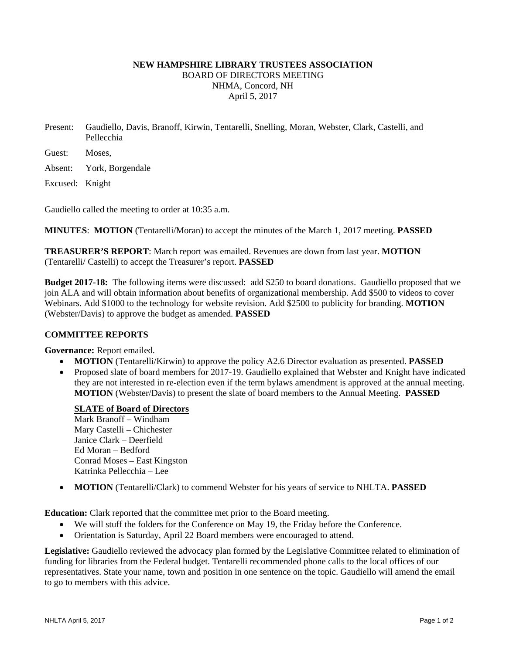# **NEW HAMPSHIRE LIBRARY TRUSTEES ASSOCIATION**  BOARD OF DIRECTORS MEETING NHMA, Concord, NH April 5, 2017

- Present: Gaudiello, Davis, Branoff, Kirwin, Tentarelli, Snelling, Moran, Webster, Clark, Castelli, and Pellecchia
- Guest: Moses,

Absent: York, Borgendale

Excused: Knight

Gaudiello called the meeting to order at 10:35 a.m.

**MINUTES**: **MOTION** (Tentarelli/Moran) to accept the minutes of the March 1, 2017 meeting. **PASSED** 

**TREASURER'S REPORT**: March report was emailed. Revenues are down from last year. **MOTION** (Tentarelli/ Castelli) to accept the Treasurer's report. **PASSED** 

**Budget 2017-18:** The following items were discussed: add \$250 to board donations. Gaudiello proposed that we join ALA and will obtain information about benefits of organizational membership. Add \$500 to videos to cover Webinars. Add \$1000 to the technology for website revision. Add \$2500 to publicity for branding. **MOTION** (Webster/Davis) to approve the budget as amended. **PASSED**

### **COMMITTEE REPORTS**

**Governance:** Report emailed.

- **MOTION** (Tentarelli/Kirwin) to approve the policy A2.6 Director evaluation as presented. **PASSED**
- Proposed slate of board members for 2017-19. Gaudiello explained that Webster and Knight have indicated they are not interested in re-election even if the term bylaws amendment is approved at the annual meeting. **MOTION** (Webster/Davis) to present the slate of board members to the Annual Meeting. **PASSED**

## **SLATE of Board of Directors**

Mark Branoff – Windham Mary Castelli – Chichester Janice Clark – Deerfield Ed Moran – Bedford Conrad Moses – East Kingston Katrinka Pellecchia – Lee

**MOTION** (Tentarelli/Clark) to commend Webster for his years of service to NHLTA. **PASSED**

**Education:** Clark reported that the committee met prior to the Board meeting.

- We will stuff the folders for the Conference on May 19, the Friday before the Conference.
- Orientation is Saturday, April 22 Board members were encouraged to attend.

**Legislative:** Gaudiello reviewed the advocacy plan formed by the Legislative Committee related to elimination of funding for libraries from the Federal budget. Tentarelli recommended phone calls to the local offices of our representatives. State your name, town and position in one sentence on the topic. Gaudiello will amend the email to go to members with this advice.